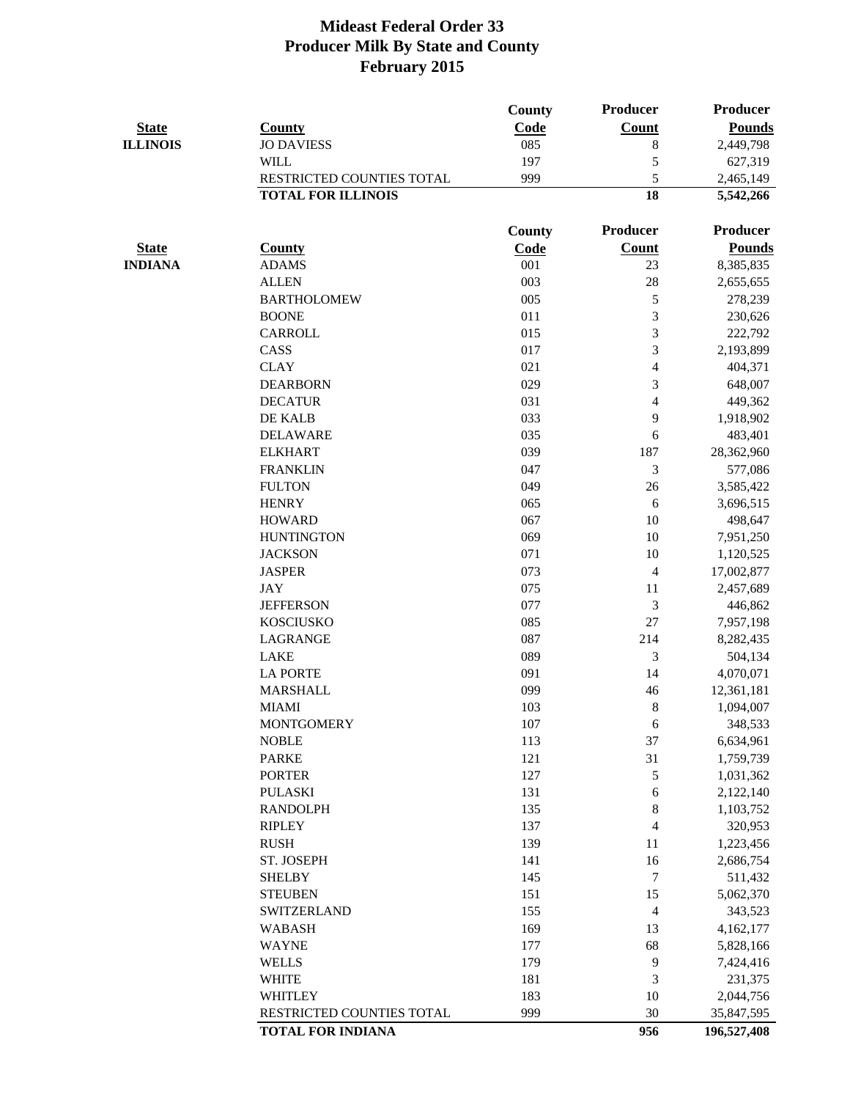|                 |                           | County | <b>Producer</b> | <b>Producer</b> |
|-----------------|---------------------------|--------|-----------------|-----------------|
| <b>State</b>    | <b>County</b>             | Code   | <b>Count</b>    | <b>Pounds</b>   |
| <b>ILLINOIS</b> | <b>JO DAVIESS</b>         | 085    | 8               | 2,449,798       |
|                 | <b>WILL</b>               | 197    | 5               | 627,319         |
|                 | RESTRICTED COUNTIES TOTAL | 999    | 5               | 2,465,149       |
|                 | <b>TOTAL FOR ILLINOIS</b> |        | 18              | 5,542,266       |
|                 |                           | County | <b>Producer</b> | <b>Producer</b> |
| <b>State</b>    | <b>County</b>             | Code   | Count           | <b>Pounds</b>   |
| <b>INDIANA</b>  | <b>ADAMS</b>              | 001    | 23              | 8,385,835       |
|                 | <b>ALLEN</b>              | 003    | 28              | 2,655,655       |
|                 | <b>BARTHOLOMEW</b>        | 005    | 5               | 278,239         |
|                 | <b>BOONE</b>              | 011    | 3               | 230,626         |
|                 | <b>CARROLL</b>            | 015    | 3               | 222,792         |
|                 | CASS                      | 017    | 3               | 2,193,899       |
|                 | <b>CLAY</b>               | 021    | 4               | 404,371         |
|                 | <b>DEARBORN</b>           | 029    | 3               | 648,007         |
|                 | <b>DECATUR</b>            | 031    | 4               | 449,362         |
|                 | DE KALB                   | 033    | 9               | 1,918,902       |
|                 | <b>DELAWARE</b>           | 035    | 6               | 483,401         |
|                 | <b>ELKHART</b>            | 039    | 187             | 28,362,960      |
|                 | <b>FRANKLIN</b>           | 047    | 3               | 577,086         |
|                 | <b>FULTON</b>             | 049    | 26              | 3,585,422       |
|                 | <b>HENRY</b>              | 065    | 6               | 3,696,515       |
|                 | <b>HOWARD</b>             | 067    | 10              | 498,647         |
|                 | <b>HUNTINGTON</b>         | 069    | 10              | 7,951,250       |
|                 | <b>JACKSON</b>            | 071    | 10              | 1,120,525       |
|                 | <b>JASPER</b>             | 073    | $\overline{4}$  | 17,002,877      |
|                 | <b>JAY</b>                | 075    | 11              | 2,457,689       |
|                 | <b>JEFFERSON</b>          | 077    | 3               | 446,862         |
|                 | <b>KOSCIUSKO</b>          | 085    | 27              | 7,957,198       |
|                 | LAGRANGE                  | 087    | 214             | 8,282,435       |
|                 | <b>LAKE</b>               | 089    | 3               | 504,134         |
|                 | <b>LA PORTE</b>           | 091    | 14              | 4,070,071       |
|                 | <b>MARSHALL</b>           | 099    | 46              | 12,361,181      |
|                 | <b>MIAMI</b>              | 103    | $\, 8$          | 1,094,007       |
|                 | <b>MONTGOMERY</b>         | 107    | 6               | 348,533         |
|                 | <b>NOBLE</b>              | 113    | 37              | 6,634,961       |
|                 | <b>PARKE</b>              | 121    | 31              | 1,759,739       |
|                 | <b>PORTER</b>             | 127    | 5               | 1,031,362       |
|                 | <b>PULASKI</b>            | 131    | $\sqrt{6}$      | 2,122,140       |
|                 | <b>RANDOLPH</b>           | 135    | 8               | 1,103,752       |
|                 | <b>RIPLEY</b>             | 137    | 4               | 320,953         |
|                 | <b>RUSH</b>               | 139    | 11              | 1,223,456       |
|                 | ST. JOSEPH                | 141    | 16              | 2,686,754       |
|                 | <b>SHELBY</b>             | 145    | $\overline{7}$  | 511,432         |
|                 | <b>STEUBEN</b>            | 151    | 15              | 5,062,370       |
|                 | <b>SWITZERLAND</b>        | 155    | $\overline{4}$  | 343,523         |
|                 | <b>WABASH</b>             | 169    | 13              | 4,162,177       |
|                 | <b>WAYNE</b>              | 177    | 68              | 5,828,166       |
|                 | <b>WELLS</b>              | 179    | 9               | 7,424,416       |
|                 | <b>WHITE</b>              | 181    | 3               | 231,375         |
|                 | <b>WHITLEY</b>            | 183    | 10              | 2,044,756       |
|                 | RESTRICTED COUNTIES TOTAL | 999    | 30              | 35,847,595      |
|                 | <b>TOTAL FOR INDIANA</b>  |        | 956             | 196,527,408     |
|                 |                           |        |                 |                 |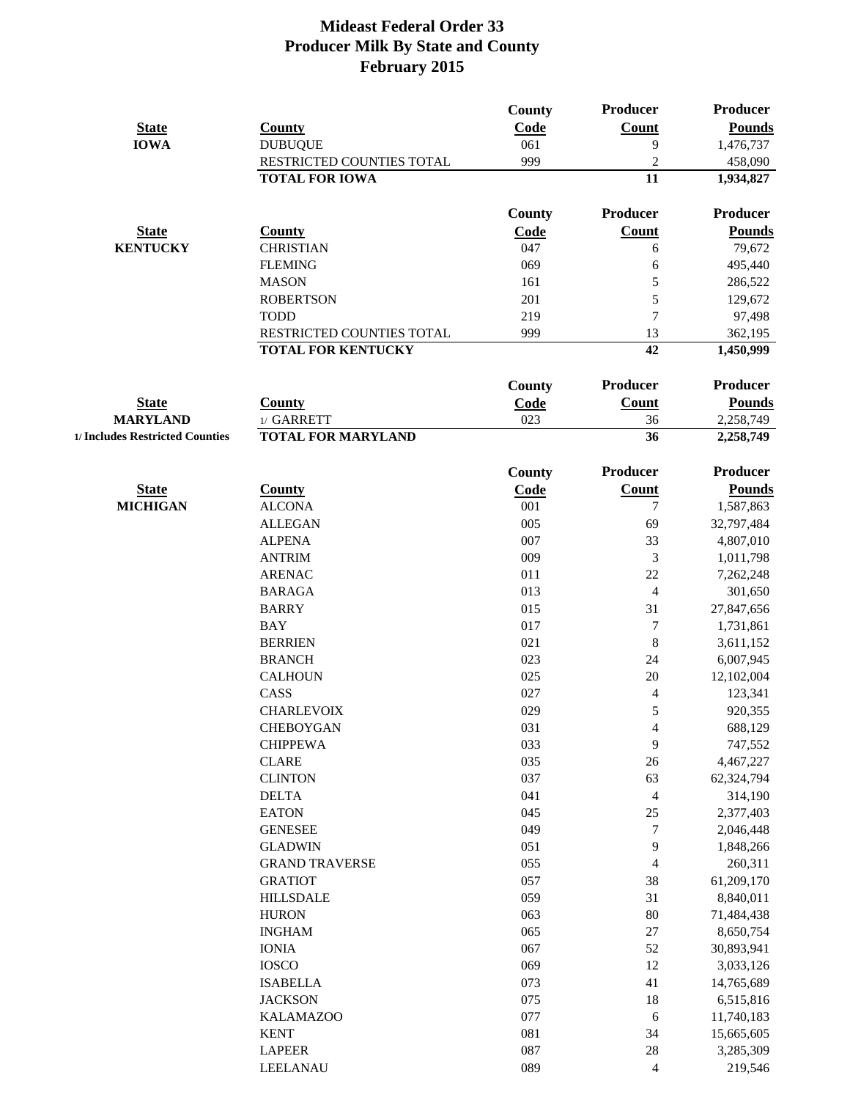|                                 |                                    | <b>County</b> | <b>Producer</b>            | Producer                 |
|---------------------------------|------------------------------------|---------------|----------------------------|--------------------------|
| <b>State</b>                    | <b>County</b>                      | Code          | <b>Count</b>               | <b>Pounds</b>            |
| <b>IOWA</b>                     | <b>DUBUQUE</b>                     | 061           | 9                          | 1,476,737                |
|                                 | RESTRICTED COUNTIES TOTAL          | 999           | $\overline{2}$             | 458,090                  |
|                                 | <b>TOTAL FOR IOWA</b>              |               | 11                         | 1,934,827                |
|                                 |                                    | <b>County</b> | Producer                   | <b>Producer</b>          |
| <b>State</b>                    | <b>County</b>                      | <b>Code</b>   | <b>Count</b>               | <b>Pounds</b>            |
| <b>KENTUCKY</b>                 | <b>CHRISTIAN</b>                   | 047           | 6                          | 79,672                   |
|                                 | <b>FLEMING</b>                     | 069           | 6                          | 495,440                  |
|                                 | <b>MASON</b>                       | 161           | 5                          | 286,522                  |
|                                 | <b>ROBERTSON</b>                   | 201           | 5                          | 129,672                  |
|                                 | <b>TODD</b>                        | 219           | $\overline{7}$             | 97,498                   |
|                                 | RESTRICTED COUNTIES TOTAL          | 999           | 13                         | 362,195                  |
|                                 | <b>TOTAL FOR KENTUCKY</b>          |               | 42                         | 1,450,999                |
|                                 |                                    | <b>County</b> | Producer                   | <b>Producer</b>          |
| <b>State</b>                    | <b>County</b>                      |               | <b>Count</b>               | <b>Pounds</b>            |
| <b>MARYLAND</b>                 | 1/ GARRETT                         | Code<br>023   | 36                         | 2,258,749                |
| 1/ Includes Restricted Counties | <b>TOTAL FOR MARYLAND</b>          |               | 36                         | 2,258,749                |
|                                 |                                    |               |                            |                          |
|                                 |                                    | <b>County</b> | Producer                   | <b>Producer</b>          |
| <b>State</b>                    | <b>County</b>                      | Code          | <b>Count</b>               | <b>Pounds</b>            |
| <b>MICHIGAN</b>                 | <b>ALCONA</b>                      | 001           | $\tau$                     | 1,587,863                |
|                                 | <b>ALLEGAN</b>                     | 005           | 69                         | 32,797,484               |
|                                 | <b>ALPENA</b>                      | 007           | 33                         | 4,807,010                |
|                                 | <b>ANTRIM</b>                      | 009           | 3                          | 1,011,798                |
|                                 | <b>ARENAC</b>                      | 011           | 22                         | 7,262,248                |
|                                 | <b>BARAGA</b>                      | 013           | $\overline{4}$             | 301,650                  |
|                                 | <b>BARRY</b>                       | 015           | 31                         | 27,847,656               |
|                                 | BAY                                | 017           | $\boldsymbol{7}$           | 1,731,861                |
|                                 | <b>BERRIEN</b>                     | 021           | $\,8\,$                    | 3,611,152                |
|                                 | <b>BRANCH</b>                      | 023           | 24                         | 6,007,945                |
|                                 | <b>CALHOUN</b>                     | 025           | 20                         | 12,102,004               |
|                                 | CASS                               | 027           | $\overline{4}$             | 123,341                  |
|                                 | <b>CHARLEVOIX</b>                  | 029           | $\mathfrak s$              | 920,355                  |
|                                 | <b>CHEBOYGAN</b>                   | 031           | $\overline{\mathcal{A}}$   | 688,129                  |
|                                 | <b>CHIPPEWA</b>                    | 033           | 9                          | 747,552                  |
|                                 | <b>CLARE</b>                       | 035           | 26                         | 4,467,227                |
|                                 | <b>CLINTON</b>                     | 037           | 63                         | 62,324,794               |
|                                 | <b>DELTA</b>                       | 041           | $\overline{4}$             | 314,190                  |
|                                 | <b>EATON</b><br><b>GENESEE</b>     | 045<br>049    | $25\,$<br>$\boldsymbol{7}$ | 2,377,403                |
|                                 | <b>GLADWIN</b>                     | 051           | 9                          | 2,046,448                |
|                                 | <b>GRAND TRAVERSE</b>              | 055           | $\overline{\mathcal{A}}$   | 1,848,266<br>260,311     |
|                                 |                                    |               | 38                         |                          |
|                                 | <b>GRATIOT</b><br><b>HILLSDALE</b> | 057<br>059    | 31                         | 61,209,170<br>8,840,011  |
|                                 | <b>HURON</b>                       | 063           | 80                         | 71,484,438               |
|                                 |                                    | 065           | 27                         |                          |
|                                 | <b>INGHAM</b>                      |               |                            | 8,650,754                |
|                                 | <b>IONIA</b><br><b>IOSCO</b>       | 067<br>069    | 52<br>12                   | 30,893,941               |
|                                 | <b>ISABELLA</b>                    | 073           | 41                         | 3,033,126                |
|                                 | <b>JACKSON</b>                     | 075           | 18                         | 14,765,689               |
|                                 | <b>KALAMAZOO</b>                   | 077           |                            | 6,515,816                |
|                                 |                                    | 081           | 6<br>34                    | 11,740,183<br>15,665,605 |
|                                 | <b>KENT</b><br><b>LAPEER</b>       | 087           |                            |                          |
|                                 | <b>LEELANAU</b>                    | 089           | $28\,$                     | 3,285,309<br>219,546     |
|                                 |                                    |               | 4                          |                          |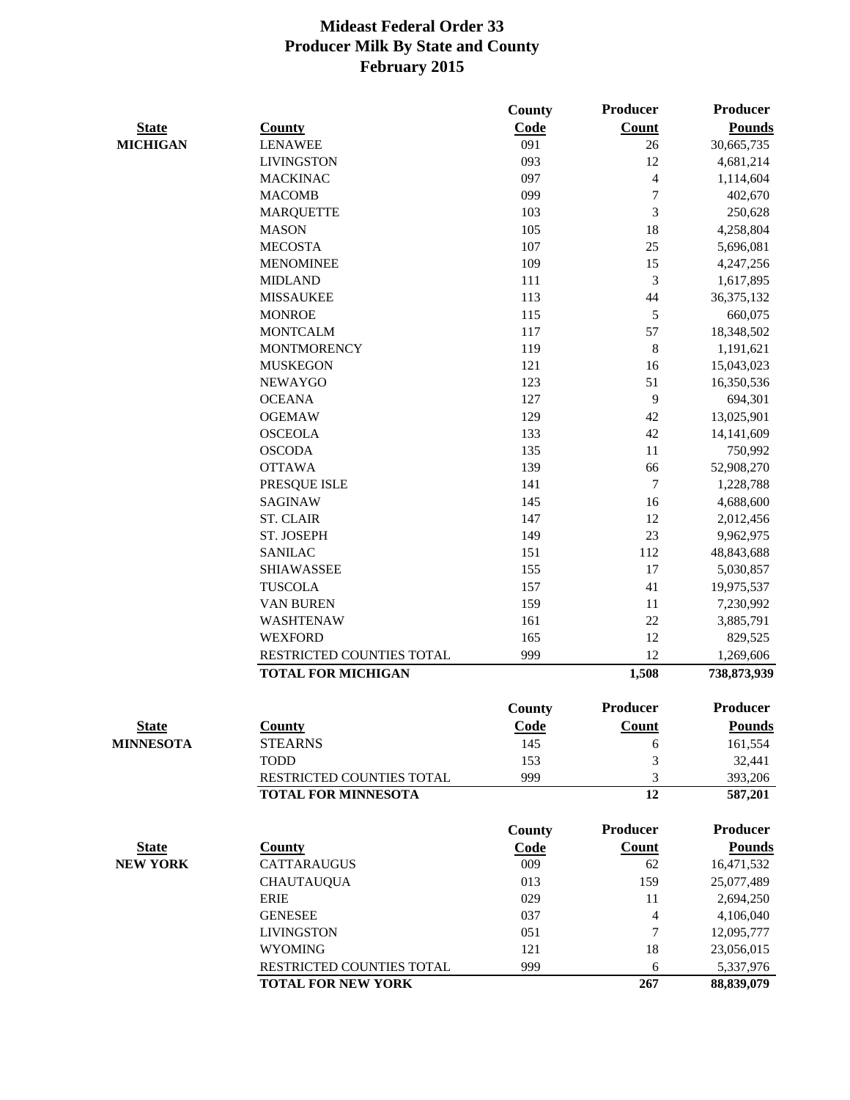|                  |                            | <b>County</b> | <b>Producer</b>          | <b>Producer</b> |
|------------------|----------------------------|---------------|--------------------------|-----------------|
| <b>State</b>     | <b>County</b>              | Code          | <b>Count</b>             | <b>Pounds</b>   |
| <b>MICHIGAN</b>  | <b>LENAWEE</b>             | 091           | 26                       | 30,665,735      |
|                  | <b>LIVINGSTON</b>          | 093           | 12                       | 4,681,214       |
|                  | <b>MACKINAC</b>            | 097           | $\overline{\mathcal{A}}$ | 1,114,604       |
|                  | <b>MACOMB</b>              | 099           | $\boldsymbol{7}$         | 402,670         |
|                  | <b>MARQUETTE</b>           | 103           | $\mathfrak{Z}$           | 250,628         |
|                  | <b>MASON</b>               | 105           | 18                       | 4,258,804       |
|                  | <b>MECOSTA</b>             | 107           | 25                       | 5,696,081       |
|                  | <b>MENOMINEE</b>           | 109           | 15                       | 4,247,256       |
|                  | <b>MIDLAND</b>             | 111           | 3                        | 1,617,895       |
|                  | <b>MISSAUKEE</b>           | 113           | 44                       | 36, 375, 132    |
|                  | <b>MONROE</b>              | 115           | 5                        | 660,075         |
|                  | <b>MONTCALM</b>            | 117           | 57                       | 18,348,502      |
|                  | <b>MONTMORENCY</b>         | 119           | 8                        | 1,191,621       |
|                  | <b>MUSKEGON</b>            | 121           | 16                       | 15,043,023      |
|                  | <b>NEWAYGO</b>             | 123           | 51                       | 16,350,536      |
|                  | <b>OCEANA</b>              | 127           | 9                        | 694,301         |
|                  | <b>OGEMAW</b>              | 129           | 42                       | 13,025,901      |
|                  | <b>OSCEOLA</b>             | 133           | 42                       | 14,141,609      |
|                  | <b>OSCODA</b>              | 135           | 11                       | 750,992         |
|                  | <b>OTTAWA</b>              | 139           | 66                       | 52,908,270      |
|                  | PRESQUE ISLE               | 141           | $\boldsymbol{7}$         | 1,228,788       |
|                  | <b>SAGINAW</b>             | 145           | 16                       | 4,688,600       |
|                  | <b>ST. CLAIR</b>           | 147           | 12                       | 2,012,456       |
|                  | ST. JOSEPH                 | 149           | 23                       | 9,962,975       |
|                  | <b>SANILAC</b>             | 151           | 112                      | 48,843,688      |
|                  | <b>SHIAWASSEE</b>          | 155           | 17                       | 5,030,857       |
|                  | <b>TUSCOLA</b>             | 157           | 41                       | 19,975,537      |
|                  | <b>VAN BUREN</b>           | 159           | 11                       | 7,230,992       |
|                  | <b>WASHTENAW</b>           | 161           | 22                       | 3,885,791       |
|                  | <b>WEXFORD</b>             | 165           | 12                       | 829,525         |
|                  | RESTRICTED COUNTIES TOTAL  | 999           | 12                       | 1,269,606       |
|                  | <b>TOTAL FOR MICHIGAN</b>  |               | 1,508                    | 738,873,939     |
|                  |                            | County        | Producer                 | Producer        |
| <b>State</b>     | <b>County</b>              | <b>Code</b>   | <b>Count</b>             | <b>Pounds</b>   |
| <b>MINNESOTA</b> | <b>STEARNS</b>             | 145           | 6                        | 161,554         |
|                  | <b>TODD</b>                | 153           | 3                        | 32,441          |
|                  | RESTRICTED COUNTIES TOTAL  | 999           | 3                        | 393,206         |
|                  | <b>TOTAL FOR MINNESOTA</b> |               | 12                       | 587,201         |
|                  |                            | County        | Producer                 | <b>Producer</b> |
| <b>State</b>     | <b>County</b>              | <b>Code</b>   | <b>Count</b>             | <b>Pounds</b>   |
| <b>NEW YORK</b>  | <b>CATTARAUGUS</b>         | 009           | 62                       | 16,471,532      |
|                  | <b>CHAUTAUQUA</b>          | 013           | 159                      | 25,077,489      |
|                  | <b>ERIE</b>                | 029           | 11                       | 2,694,250       |
|                  | <b>GENESEE</b>             | 037           | $\overline{4}$           | 4,106,040       |
|                  | <b>LIVINGSTON</b>          | 051           | 7                        | 12,095,777      |
|                  | <b>WYOMING</b>             | 121           | 18                       | 23,056,015      |
|                  | RESTRICTED COUNTIES TOTAL  | 999           | 6                        | 5,337,976       |
|                  | <b>TOTAL FOR NEW YORK</b>  |               | 267                      | 88,839,079      |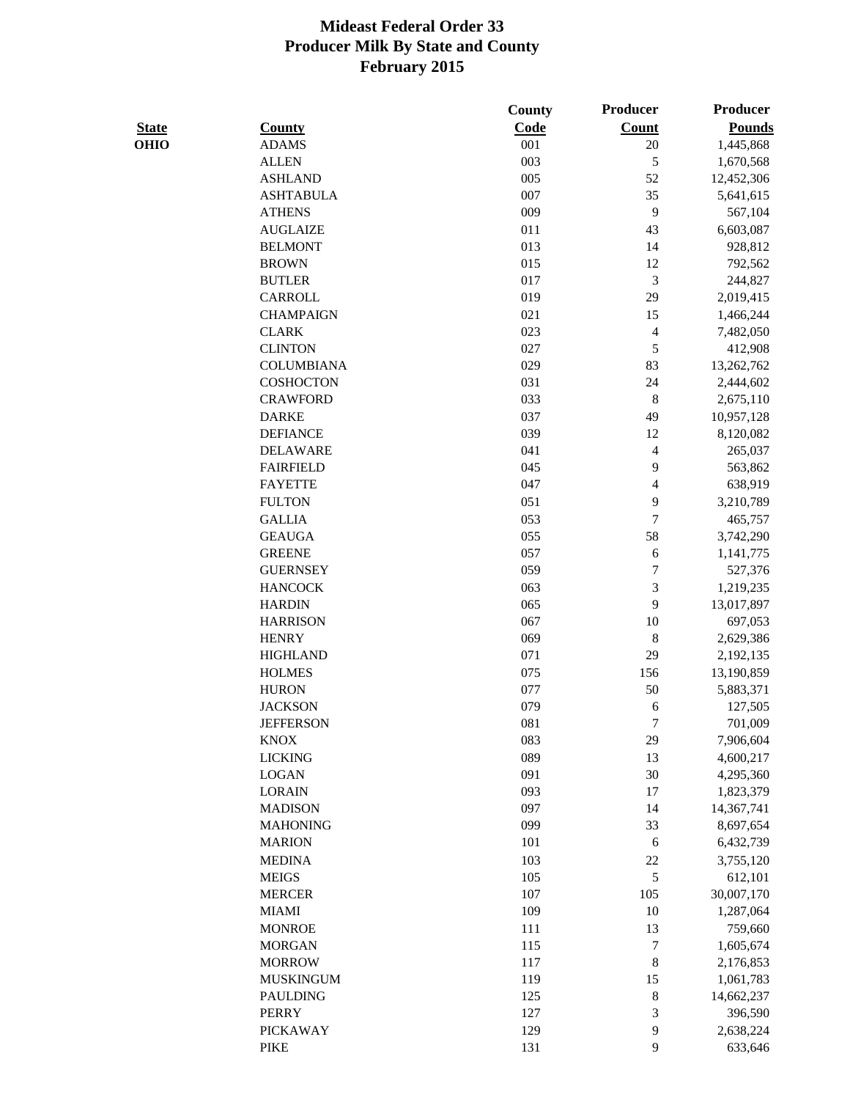|              |                   | County | <b>Producer</b>  | <b>Producer</b> |
|--------------|-------------------|--------|------------------|-----------------|
| <b>State</b> | <b>County</b>     | Code   | <b>Count</b>     | <b>Pounds</b>   |
| <b>OHIO</b>  | <b>ADAMS</b>      | 001    | 20               | 1,445,868       |
|              | <b>ALLEN</b>      | 003    | $\mathfrak{S}$   | 1,670,568       |
|              | <b>ASHLAND</b>    | 005    | 52               | 12,452,306      |
|              | <b>ASHTABULA</b>  | 007    | 35               | 5,641,615       |
|              | <b>ATHENS</b>     | 009    | 9                | 567,104         |
|              | <b>AUGLAIZE</b>   | 011    | 43               | 6,603,087       |
|              | <b>BELMONT</b>    | 013    | 14               | 928,812         |
|              | <b>BROWN</b>      | 015    | 12               | 792,562         |
|              | <b>BUTLER</b>     | 017    | 3                | 244,827         |
|              | <b>CARROLL</b>    | 019    | 29               | 2,019,415       |
|              | <b>CHAMPAIGN</b>  | 021    | 15               | 1,466,244       |
|              | <b>CLARK</b>      | 023    | $\overline{4}$   | 7,482,050       |
|              | <b>CLINTON</b>    | 027    | $\mathfrak s$    | 412,908         |
|              | <b>COLUMBIANA</b> | 029    | 83               | 13,262,762      |
|              | <b>COSHOCTON</b>  | 031    | 24               | 2,444,602       |
|              | <b>CRAWFORD</b>   | 033    | $\,8\,$          | 2,675,110       |
|              | <b>DARKE</b>      | 037    | 49               | 10,957,128      |
|              | <b>DEFIANCE</b>   | 039    | 12               | 8,120,082       |
|              | <b>DELAWARE</b>   | 041    | $\overline{4}$   | 265,037         |
|              | <b>FAIRFIELD</b>  | 045    | 9                | 563,862         |
|              | <b>FAYETTE</b>    | 047    | $\overline{4}$   | 638,919         |
|              | <b>FULTON</b>     | 051    | 9                | 3,210,789       |
|              | <b>GALLIA</b>     | 053    | $\boldsymbol{7}$ | 465,757         |
|              | <b>GEAUGA</b>     | 055    | 58               | 3,742,290       |
|              | <b>GREENE</b>     | 057    | 6                | 1,141,775       |
|              | <b>GUERNSEY</b>   | 059    | $\boldsymbol{7}$ | 527,376         |
|              | <b>HANCOCK</b>    | 063    | $\mathfrak{Z}$   | 1,219,235       |
|              | <b>HARDIN</b>     | 065    | 9                | 13,017,897      |
|              | <b>HARRISON</b>   | 067    | 10               | 697,053         |
|              | <b>HENRY</b>      | 069    | 8                | 2,629,386       |
|              | <b>HIGHLAND</b>   | 071    | 29               | 2,192,135       |
|              | <b>HOLMES</b>     | 075    | 156              | 13,190,859      |
|              | <b>HURON</b>      | 077    | 50               | 5,883,371       |
|              | <b>JACKSON</b>    | 079    | 6                | 127,505         |
|              | <b>JEFFERSON</b>  | 081    | $\overline{7}$   | 701,009         |
|              | <b>KNOX</b>       | 083    | 29               | 7,906,604       |
|              | <b>LICKING</b>    | 089    | 13               | 4,600,217       |
|              | <b>LOGAN</b>      | 091    | 30               | 4,295,360       |
|              | <b>LORAIN</b>     | 093    | 17               | 1,823,379       |
|              | <b>MADISON</b>    | 097    | 14               | 14,367,741      |
|              | <b>MAHONING</b>   | 099    | 33               | 8,697,654       |
|              | <b>MARION</b>     | 101    | 6                | 6,432,739       |
|              | <b>MEDINA</b>     | 103    | 22               | 3,755,120       |
|              | <b>MEIGS</b>      | 105    | $\mathfrak{S}$   | 612,101         |
|              | <b>MERCER</b>     | 107    | 105              | 30,007,170      |
|              | <b>MIAMI</b>      | 109    | 10               | 1,287,064       |
|              | <b>MONROE</b>     | 111    | 13               | 759,660         |
|              | <b>MORGAN</b>     | 115    | $\boldsymbol{7}$ | 1,605,674       |
|              | <b>MORROW</b>     | 117    | $\,8\,$          | 2,176,853       |
|              | <b>MUSKINGUM</b>  | 119    | 15               | 1,061,783       |
|              | <b>PAULDING</b>   | 125    | $\,8\,$          | 14,662,237      |
|              | <b>PERRY</b>      | 127    | 3                | 396,590         |
|              | <b>PICKAWAY</b>   | 129    | 9                | 2,638,224       |
|              | <b>PIKE</b>       | 131    | 9                | 633,646         |
|              |                   |        |                  |                 |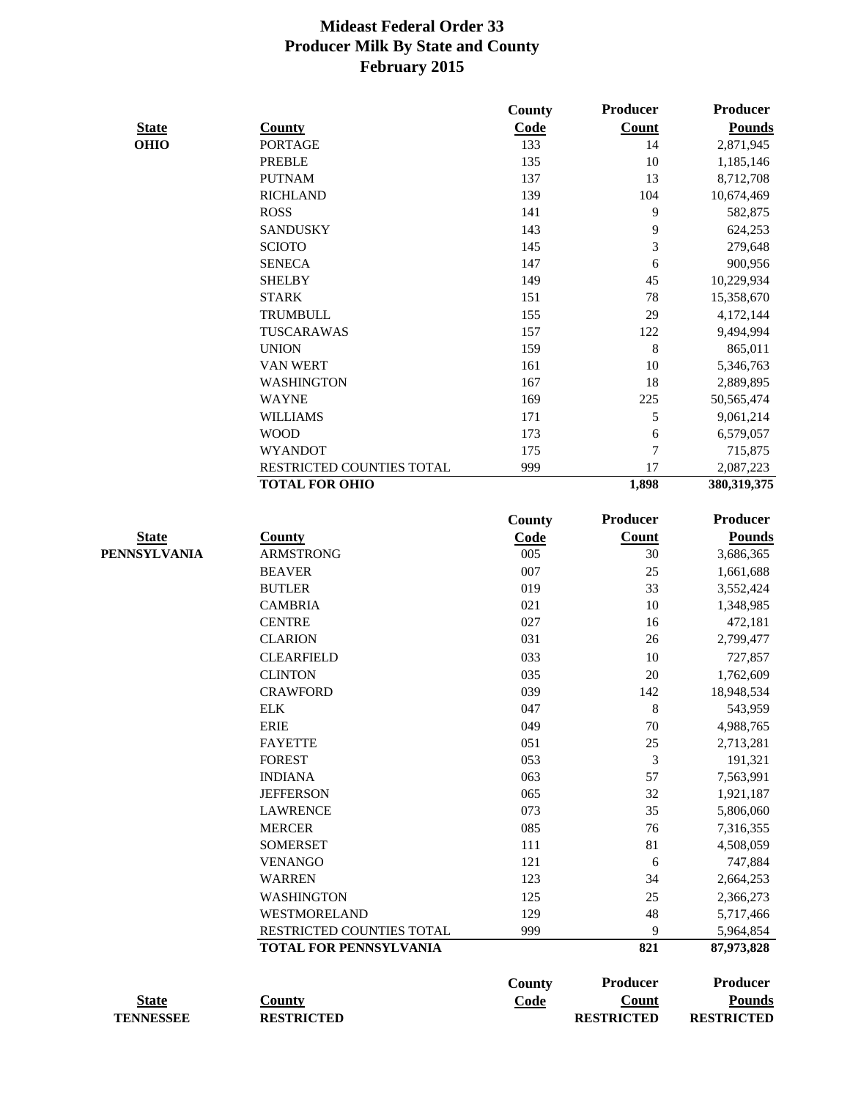|                  |                                   | County        | Producer          | <b>Producer</b>         |
|------------------|-----------------------------------|---------------|-------------------|-------------------------|
| <b>State</b>     | <b>County</b>                     | Code          | <b>Count</b>      | <b>Pounds</b>           |
| <b>OHIO</b>      | <b>PORTAGE</b>                    | 133           | 14                | 2,871,945               |
|                  | <b>PREBLE</b>                     | 135           | 10                | 1,185,146               |
|                  | <b>PUTNAM</b>                     | 137           | 13                | 8,712,708               |
|                  | <b>RICHLAND</b>                   | 139           | 104               | 10,674,469              |
|                  | <b>ROSS</b>                       | 141           | 9                 | 582,875                 |
|                  | <b>SANDUSKY</b>                   | 143           | 9                 | 624,253                 |
|                  | <b>SCIOTO</b>                     | 145           | $\mathfrak{Z}$    | 279,648                 |
|                  | <b>SENECA</b>                     | 147           | 6                 | 900,956                 |
|                  | <b>SHELBY</b>                     | 149           | 45                | 10,229,934              |
|                  | <b>STARK</b>                      | 151           | 78                | 15,358,670              |
|                  | <b>TRUMBULL</b>                   | 155           | 29                | 4,172,144               |
|                  | TUSCARAWAS                        | 157           | 122               | 9,494,994               |
|                  | <b>UNION</b>                      | 159           | 8                 | 865,011                 |
|                  | <b>VAN WERT</b>                   | 161           | 10                | 5,346,763               |
|                  | <b>WASHINGTON</b>                 | 167           | 18                | 2,889,895               |
|                  | <b>WAYNE</b>                      | 169           | 225               | 50, 565, 474            |
|                  | <b>WILLIAMS</b>                   | 171           | $\mathfrak s$     | 9,061,214               |
|                  | <b>WOOD</b>                       | 173           | 6                 | 6,579,057               |
|                  | <b>WYANDOT</b>                    | 175           | $\overline{7}$    | 715,875                 |
|                  | RESTRICTED COUNTIES TOTAL         | 999           | 17                | 2,087,223               |
|                  | <b>TOTAL FOR OHIO</b>             |               | 1,898             | 380, 319, 375           |
|                  |                                   |               |                   |                         |
|                  |                                   | County        | Producer          | <b>Producer</b>         |
| <b>State</b>     | <b>County</b>                     | Code          | <b>Count</b>      | <b>Pounds</b>           |
| PENNSYLVANIA     | <b>ARMSTRONG</b>                  | 005           | 30                | 3,686,365               |
|                  | <b>BEAVER</b>                     | 007           | 25                | 1,661,688               |
|                  | <b>BUTLER</b>                     | 019           | 33                | 3,552,424               |
|                  | <b>CAMBRIA</b>                    | 021           | 10                | 1,348,985               |
|                  | <b>CENTRE</b>                     | 027           | 16                | 472,181                 |
|                  | <b>CLARION</b>                    | 031           | 26                | 2,799,477               |
|                  | <b>CLEARFIELD</b>                 | 033           | 10                | 727,857                 |
|                  | <b>CLINTON</b>                    | 035           | 20                | 1,762,609               |
|                  | <b>CRAWFORD</b>                   | 039           | 142               | 18,948,534              |
|                  | <b>ELK</b>                        | 047           | 8                 | 543,959                 |
|                  | <b>ERIE</b>                       | 049           | 70                | 4,988,765               |
|                  | <b>FAYETTE</b>                    | 051           | 25                | 2,713,281               |
|                  | <b>FOREST</b>                     | 053           | 3                 | 191,321                 |
|                  | <b>INDIANA</b>                    | 063           | 57                | 7,563,991               |
|                  | <b>JEFFERSON</b>                  | 065           | 32                | 1,921,187               |
|                  | <b>LAWRENCE</b>                   | 073           | 35                | 5,806,060               |
|                  | <b>MERCER</b>                     | 085           | 76                | 7,316,355               |
|                  | <b>SOMERSET</b>                   | 111           | 81                | 4,508,059               |
|                  | <b>VENANGO</b>                    | 121           | 6                 | 747,884                 |
|                  | <b>WARREN</b>                     | 123           | 34                | 2,664,253               |
|                  |                                   |               |                   |                         |
|                  | <b>WASHINGTON</b><br>WESTMORELAND | 125<br>129    | 25<br>48          | 2,366,273               |
|                  | RESTRICTED COUNTIES TOTAL         | 999           | 9                 | 5,717,466               |
|                  | <b>TOTAL FOR PENNSYLVANIA</b>     |               | 821               | 5,964,854<br>87,973,828 |
|                  |                                   |               |                   |                         |
|                  |                                   | <b>County</b> | Producer          | <b>Producer</b>         |
| <b>State</b>     | <b>County</b>                     | <b>Code</b>   | <b>Count</b>      | <b>Pounds</b>           |
| <b>TENNESSEE</b> | <b>RESTRICTED</b>                 |               | <b>RESTRICTED</b> | <b>RESTRICTED</b>       |
|                  |                                   |               |                   |                         |